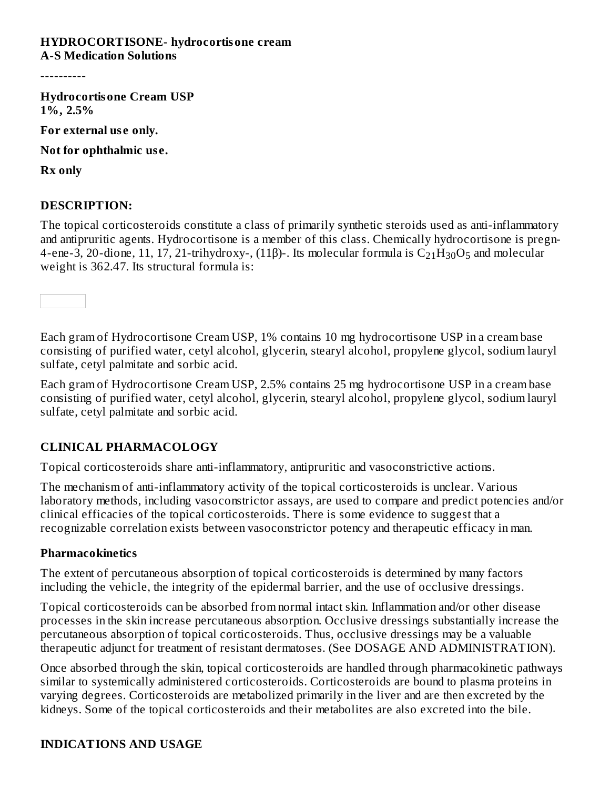#### **HYDROCORTISONE- hydrocortisone cream A-S Medication Solutions**

----------

**Hydrocortisone Cream USP 1%, 2.5%**

**For external us e only.**

**Not for ophthalmic us e.**

**Rx only**

#### **DESCRIPTION:**

The topical corticosteroids constitute a class of primarily synthetic steroids used as anti-inflammatory and antipruritic agents. Hydrocortisone is a member of this class. Chemically hydrocortisone is pregn-4-ene-3, 20-dione, 11, 17, 21-trihydroxy-, (11β)-. Its molecular formula is  $\rm{C}_{21}\rm{H}_{30}\rm{O}_{5}$  and molecular weight is 362.47. Its structural formula is:

Each gram of Hydrocortisone Cream USP, 1% contains 10 mg hydrocortisone USP in a cream base consisting of purified water, cetyl alcohol, glycerin, stearyl alcohol, propylene glycol, sodium lauryl sulfate, cetyl palmitate and sorbic acid.

Each gram of Hydrocortisone Cream USP, 2.5% contains 25 mg hydrocortisone USP in a cream base consisting of purified water, cetyl alcohol, glycerin, stearyl alcohol, propylene glycol, sodium lauryl sulfate, cetyl palmitate and sorbic acid.

#### **CLINICAL PHARMACOLOGY**

Topical corticosteroids share anti-inflammatory, antipruritic and vasoconstrictive actions.

The mechanism of anti-inflammatory activity of the topical corticosteroids is unclear. Various laboratory methods, including vasoconstrictor assays, are used to compare and predict potencies and/or clinical efficacies of the topical corticosteroids. There is some evidence to suggest that a recognizable correlation exists between vasoconstrictor potency and therapeutic efficacy in man.

#### **Pharmacokinetics**

The extent of percutaneous absorption of topical corticosteroids is determined by many factors including the vehicle, the integrity of the epidermal barrier, and the use of occlusive dressings.

Topical corticosteroids can be absorbed from normal intact skin. Inflammation and/or other disease processes in the skin increase percutaneous absorption. Occlusive dressings substantially increase the percutaneous absorption of topical corticosteroids. Thus, occlusive dressings may be a valuable therapeutic adjunct for treatment of resistant dermatoses. (See DOSAGE AND ADMINISTRATION).

Once absorbed through the skin, topical corticosteroids are handled through pharmacokinetic pathways similar to systemically administered corticosteroids. Corticosteroids are bound to plasma proteins in varying degrees. Corticosteroids are metabolized primarily in the liver and are then excreted by the kidneys. Some of the topical corticosteroids and their metabolites are also excreted into the bile.

### **INDICATIONS AND USAGE**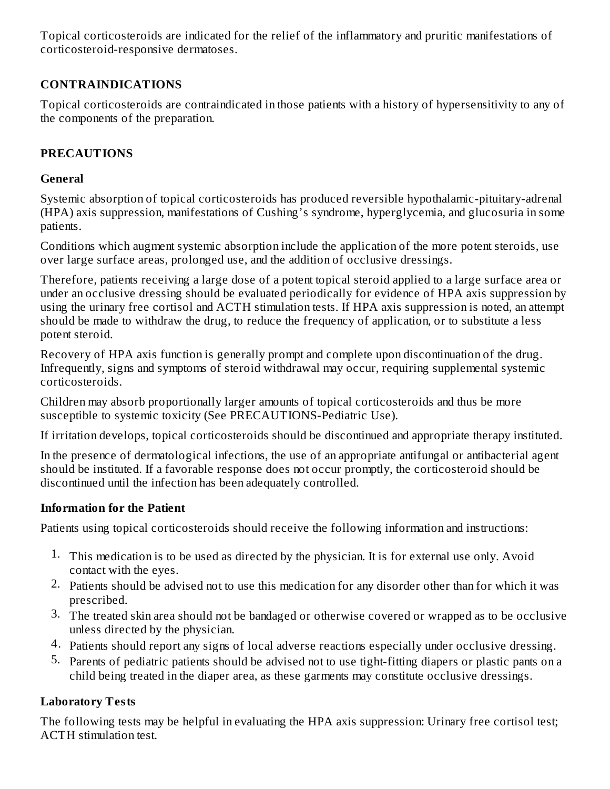Topical corticosteroids are indicated for the relief of the inflammatory and pruritic manifestations of corticosteroid-responsive dermatoses.

# **CONTRAINDICATIONS**

Topical corticosteroids are contraindicated in those patients with a history of hypersensitivity to any of the components of the preparation.

## **PRECAUTIONS**

## **General**

Systemic absorption of topical corticosteroids has produced reversible hypothalamic-pituitary-adrenal (HPA) axis suppression, manifestations of Cushing's syndrome, hyperglycemia, and glucosuria in some patients.

Conditions which augment systemic absorption include the application of the more potent steroids, use over large surface areas, prolonged use, and the addition of occlusive dressings.

Therefore, patients receiving a large dose of a potent topical steroid applied to a large surface area or under an occlusive dressing should be evaluated periodically for evidence of HPA axis suppression by using the urinary free cortisol and ACTH stimulation tests. If HPA axis suppression is noted, an attempt should be made to withdraw the drug, to reduce the frequency of application, or to substitute a less potent steroid.

Recovery of HPA axis function is generally prompt and complete upon discontinuation of the drug. Infrequently, signs and symptoms of steroid withdrawal may occur, requiring supplemental systemic corticosteroids.

Children may absorb proportionally larger amounts of topical corticosteroids and thus be more susceptible to systemic toxicity (See PRECAUTIONS-Pediatric Use).

If irritation develops, topical corticosteroids should be discontinued and appropriate therapy instituted.

In the presence of dermatological infections, the use of an appropriate antifungal or antibacterial agent should be instituted. If a favorable response does not occur promptly, the corticosteroid should be discontinued until the infection has been adequately controlled.

## **Information for the Patient**

Patients using topical corticosteroids should receive the following information and instructions:

- 1. This medication is to be used as directed by the physician. It is for external use only. Avoid contact with the eyes.
- 2. Patients should be advised not to use this medication for any disorder other than for which it was prescribed.
- 3. The treated skin area should not be bandaged or otherwise covered or wrapped as to be occlusive unless directed by the physician.
- 4. Patients should report any signs of local adverse reactions especially under occlusive dressing.
- 5. Parents of pediatric patients should be advised not to use tight-fitting diapers or plastic pants on a child being treated in the diaper area, as these garments may constitute occlusive dressings.

# **Laboratory Tests**

The following tests may be helpful in evaluating the HPA axis suppression: Urinary free cortisol test; ACTH stimulation test.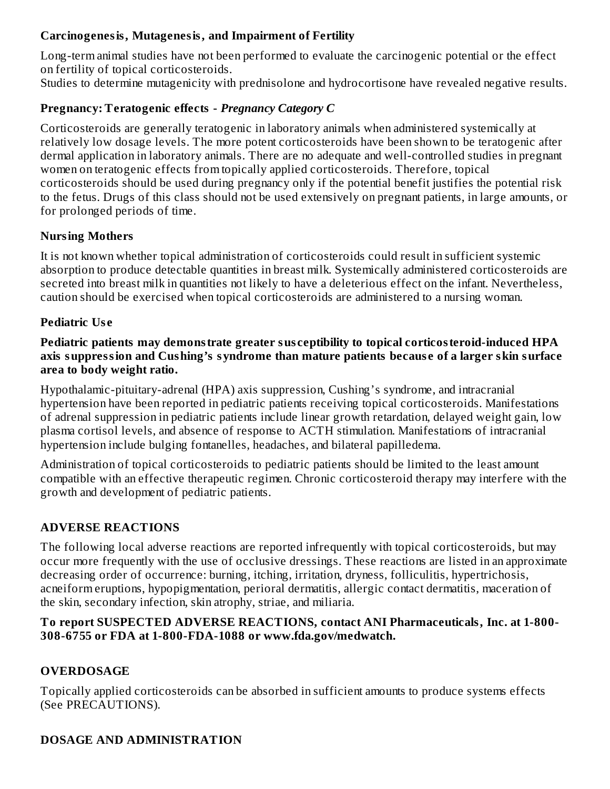### **Carcinogenesis, Mutagenesis, and Impairment of Fertility**

Long-term animal studies have not been performed to evaluate the carcinogenic potential or the effect on fertility of topical corticosteroids.

Studies to determine mutagenicity with prednisolone and hydrocortisone have revealed negative results.

### **Pregnancy: Teratogenic effects -** *Pregnancy Category C*

Corticosteroids are generally teratogenic in laboratory animals when administered systemically at relatively low dosage levels. The more potent corticosteroids have been shown to be teratogenic after dermal application in laboratory animals. There are no adequate and well-controlled studies in pregnant women on teratogenic effects from topically applied corticosteroids. Therefore, topical corticosteroids should be used during pregnancy only if the potential benefit justifies the potential risk to the fetus. Drugs of this class should not be used extensively on pregnant patients, in large amounts, or for prolonged periods of time.

## **Nursing Mothers**

It is not known whether topical administration of corticosteroids could result in sufficient systemic absorption to produce detectable quantities in breast milk. Systemically administered corticosteroids are secreted into breast milk in quantities not likely to have a deleterious effect on the infant. Nevertheless, caution should be exercised when topical corticosteroids are administered to a nursing woman.

## **Pediatric Us e**

#### **Pediatric patients may demonstrate greater sus ceptibility to topical corticosteroid-induced HPA axis suppression and Cushing's syndrome than mature patients becaus e of a larger skin surface area to body weight ratio.**

Hypothalamic-pituitary-adrenal (HPA) axis suppression, Cushing's syndrome, and intracranial hypertension have been reported in pediatric patients receiving topical corticosteroids. Manifestations of adrenal suppression in pediatric patients include linear growth retardation, delayed weight gain, low plasma cortisol levels, and absence of response to ACTH stimulation. Manifestations of intracranial hypertension include bulging fontanelles, headaches, and bilateral papilledema.

Administration of topical corticosteroids to pediatric patients should be limited to the least amount compatible with an effective therapeutic regimen. Chronic corticosteroid therapy may interfere with the growth and development of pediatric patients.

## **ADVERSE REACTIONS**

The following local adverse reactions are reported infrequently with topical corticosteroids, but may occur more frequently with the use of occlusive dressings. These reactions are listed in an approximate decreasing order of occurrence: burning, itching, irritation, dryness, folliculitis, hypertrichosis, acneiform eruptions, hypopigmentation, perioral dermatitis, allergic contact dermatitis, maceration of the skin, secondary infection, skin atrophy, striae, and miliaria.

### **To report SUSPECTED ADVERSE REACTIONS, contact ANI Pharmaceuticals, Inc. at 1-800- 308-6755 or FDA at 1-800-FDA-1088 or www.fda.gov/medwatch.**

# **OVERDOSAGE**

Topically applied corticosteroids can be absorbed in sufficient amounts to produce systems effects (See PRECAUTIONS).

## **DOSAGE AND ADMINISTRATION**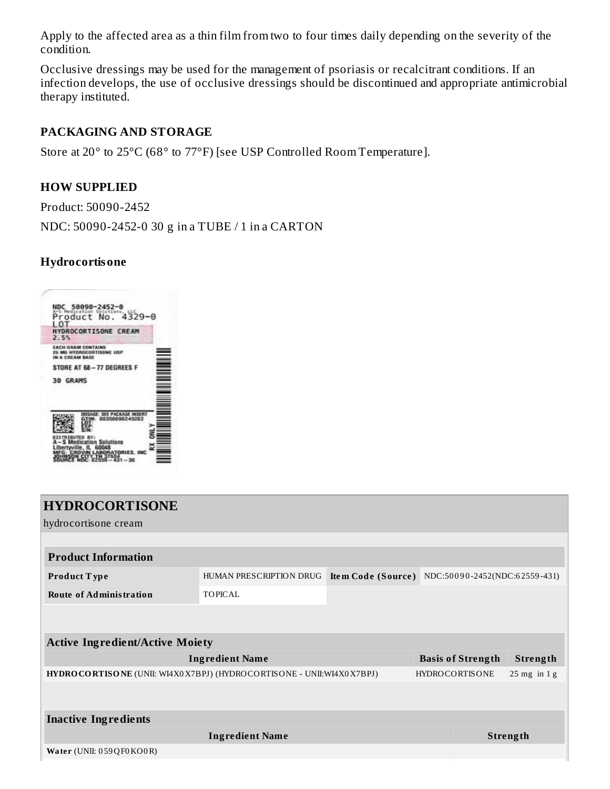Apply to the affected area as a thin film from two to four times daily depending on the severity of the condition.

Occlusive dressings may be used for the management of psoriasis or recalcitrant conditions. If an infection develops, the use of occlusive dressings should be discontinued and appropriate antimicrobial therapy instituted.

### **PACKAGING AND STORAGE**

Store at 20° to 25°C (68° to 77°F) [see USP Controlled Room Temperature].

#### **HOW SUPPLIED**

Product: 50090-2452

NDC: 50090-2452-0 30 g in a TUBE / 1 in a CARTON

#### **Hydrocortisone**

|                 | C 50<br>ledic.<br>Product No                                            | 090-2452-0<br>Solut       | $4329 - 0$ |  |
|-----------------|-------------------------------------------------------------------------|---------------------------|------------|--|
| ŒΤ<br>2.5%      | HYDROCORTISONE CREAM                                                    |                           |            |  |
|                 | <b>EACH GRAM CONTAINS</b><br><b>DROCORTISONE LIS</b><br>IN A CREAM BASE |                           |            |  |
|                 | STORE AT 68-77 DEGREES F                                                |                           |            |  |
| <b>30 GRAMS</b> |                                                                         |                           |            |  |
|                 |                                                                         | hatheada<br>0350090245202 |            |  |
|                 |                                                                         | an Salutions              |            |  |

| <b>HYDROCORTISONE</b>                                                    |                         |                                                  |                          |                  |
|--------------------------------------------------------------------------|-------------------------|--------------------------------------------------|--------------------------|------------------|
| hydrocortisone cream                                                     |                         |                                                  |                          |                  |
|                                                                          |                         |                                                  |                          |                  |
| <b>Product Information</b>                                               |                         |                                                  |                          |                  |
| Product Type                                                             | HUMAN PRESCRIPTION DRUG | Item Code (Source) NDC:50090-2452(NDC:62559-431) |                          |                  |
| <b>Route of Administration</b>                                           | <b>TOPICAL</b>          |                                                  |                          |                  |
|                                                                          |                         |                                                  |                          |                  |
| <b>Active Ingredient/Active Moiety</b>                                   |                         |                                                  |                          |                  |
|                                                                          | <b>Ingredient Name</b>  |                                                  | <b>Basis of Strength</b> | Strength         |
| HYDRO CORTISONE (UNII: WI4X0 X7BPJ) (HYDROCORTISONE - UNII: WI4X0 X7BPJ) |                         |                                                  | <b>HYDROCORTISONE</b>    | $25$ mg in $1$ g |
|                                                                          |                         |                                                  |                          |                  |
| <b>Inactive Ingredients</b>                                              |                         |                                                  |                          |                  |
|                                                                          | <b>Ingredient Name</b>  |                                                  |                          | Strength         |
| Water (UNII: 059QF0KO0R)                                                 |                         |                                                  |                          |                  |